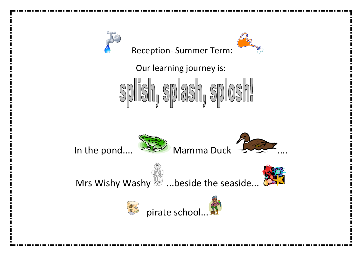



Our learning journey is:







Mrs Wishy Washy  $\mathbb{Z}$  ...beside the seaside...  $\mathbb{Z}$ 



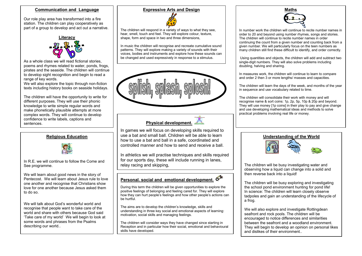#### **Communication and Language**

Our role play area has transformed into a fire station. The children can play cooperatively as part of a group to develop and act out a narrative.



As a whole class we will read fictional stories. poems and rhymes related to water, ponds, frogs, pirates and the seaside. The children will continue to develop sight recognition and begin to read a range of key words.

We will also explore the topic through non-fiction texts including history books on seaside holidays.

The children will have the opportunity to write for different purposes. They will use their phonic knowledge to write simple regular words and make phonetically plausible attempts at more complex words. They will continue to develop confidence to write labels, captions and sentences.

### **Religious Education**



In R.E. we will continue to follow the Come and See programme.

We will learn about good news in the story of Pentecost. We will learn about Jesus rule to love one another and recognise that Christians show love for one another because Jesus asked them to do so.

We will talk about God's wonderful world and recognise that people want to take care of the world and share with others because God said 'Take care of my world' We will begin to look at some words and phrases from the Psalms describing our world..

#### **Expressive Arts and Design**



The children will respond in a variety of ways to what they see, hear, smell, touch and feel. They will explore colour, texture, shape, form and space in two and three dimensions,

In music the children will recognise and recreate cumulative sound patterns. They will explore making a variety of sounds with their voices, bodies and instruments and explore how these sounds can be changed and used expressively in response to a stimulus.



# **Physical development.**

In games we will focus on developing skills required to use a bat and small ball. Children will be able to learn how to use a bat and ball in a safe, coordinated and controlled manner and how to send and receive a ball.

In athletics we will practise techniques and skills required for our sports day, these will include running in lanes, relay racing and skipping,

## **Personal. social and emotional development.**

During this term the children will be given opportunities to explore the positive feelings of belonging and feeling cared for. They will explore how they can hurt people's feelings and how other people's actions can be hurtful.

The aims are to develop the children's knowledge, skills and understanding in three key social and emotional aspects of learning: motivation, social skills and managing feelings.

The children will consider ways they have changed since starting in Reception and in particular how their social, emotional and behavioural skills have developed.



In number work the children will continue to recite number names in order to 20 and beyond using number rhymes, songs and stories. The children will continue to recite number names in order continuing the count from a given number and counting back from a given number. We will particularly focus on the teen numbers as many children still find these difficult to identify, and order correctly.

 Using quantities and objects, the children will add and subtract two single-digit numbers. They will also solve problems including doubling, halving and sharing.

In measures work, the children will continue to learn to compare and order 2 then 3 or more lengths/ masses and capacities.

The children will learn the days of the week, and months of the year in sequence and use vocabulary related to time.

The children will consolidate their work with money and will recognise name & sort coins: 1p, 2p, 5p, 10p & 20p and beyond. They will use money [1p coins] in their play to pay and give change and use developing mathematical ideas and methods to solve practical problems involving real life or money.



The children will be busy investigating water and observing how a liquid can change into a solid and then reverse back into a liquid!

The children will be busy exploring and investigating the school pond environment hunting for pond life! In science: The children will learn closely observe tadpoles and gain an understanding of the lifecycle of a frog.

We will also explore and investigate Rottingdean seafront and rock pools. The children will be encouraged to notice differences and similarities between the seafront and a woodland environment. They will begin to develop an opinion on personal likes and dislikes of their environment..